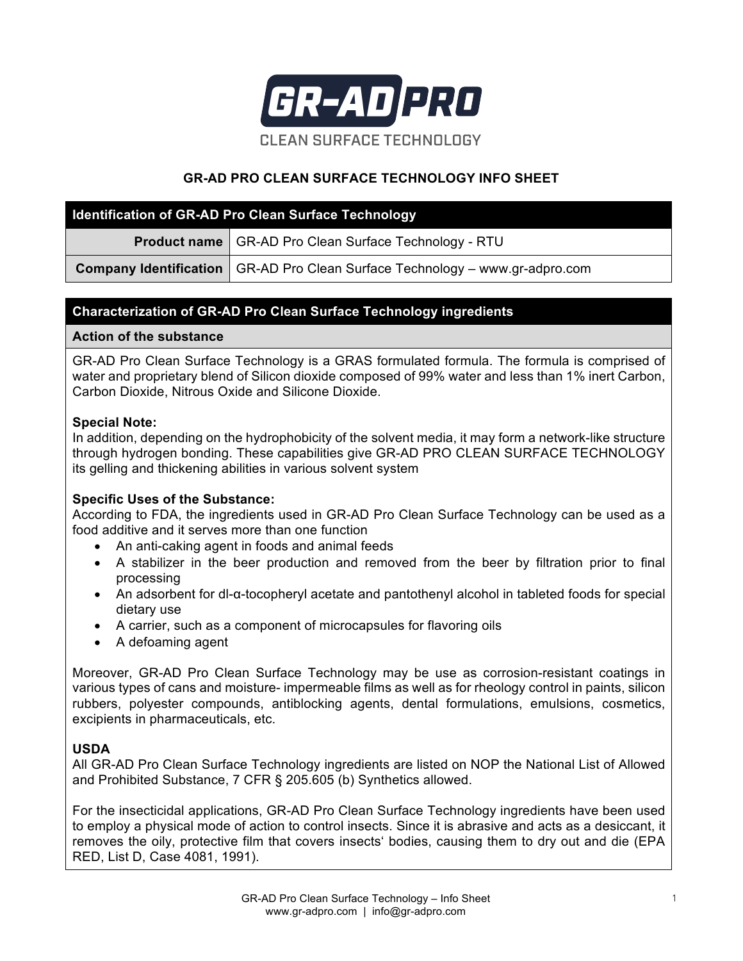

# **GR-AD PRO CLEAN SURFACE TECHNOLOGY INFO SHEET**

| <b>Identification of GR-AD Pro Clean Surface Technology</b> |                                                                                       |
|-------------------------------------------------------------|---------------------------------------------------------------------------------------|
|                                                             | <b>Product name   GR-AD Pro Clean Surface Technology - RTU</b>                        |
|                                                             | <b>Company Identification</b>   GR-AD Pro Clean Surface Technology – www.gr-adpro.com |

# **Characterization of GR-AD Pro Clean Surface Technology ingredients**

#### **Action of the substance**

GR-AD Pro Clean Surface Technology is a GRAS formulated formula. The formula is comprised of water and proprietary blend of Silicon dioxide composed of 99% water and less than 1% inert Carbon, Carbon Dioxide, Nitrous Oxide and Silicone Dioxide.

#### **Special Note:**

In addition, depending on the hydrophobicity of the solvent media, it may form a network-like structure through hydrogen bonding. These capabilities give GR-AD PRO CLEAN SURFACE TECHNOLOGY its gelling and thickening abilities in various solvent system

## **Specific Uses of the Substance:**

According to FDA, the ingredients used in GR-AD Pro Clean Surface Technology can be used as a food additive and it serves more than one function

- An anti-caking agent in foods and animal feeds
- A stabilizer in the beer production and removed from the beer by filtration prior to final processing
- An adsorbent for dl-α-tocopheryl acetate and pantothenyl alcohol in tableted foods for special dietary use
- A carrier, such as a component of microcapsules for flavoring oils
- A defoaming agent

Moreover, GR-AD Pro Clean Surface Technology may be use as corrosion-resistant coatings in various types of cans and moisture- impermeable films as well as for rheology control in paints, silicon rubbers, polyester compounds, antiblocking agents, dental formulations, emulsions, cosmetics, excipients in pharmaceuticals, etc.

## **USDA**

All GR-AD Pro Clean Surface Technology ingredients are listed on NOP the National List of Allowed and Prohibited Substance, 7 CFR § 205.605 (b) Synthetics allowed.

For the insecticidal applications, GR-AD Pro Clean Surface Technology ingredients have been used to employ a physical mode of action to control insects. Since it is abrasive and acts as a desiccant, it removes the oily, protective film that covers insects' bodies, causing them to dry out and die (EPA RED, List D, Case 4081, 1991).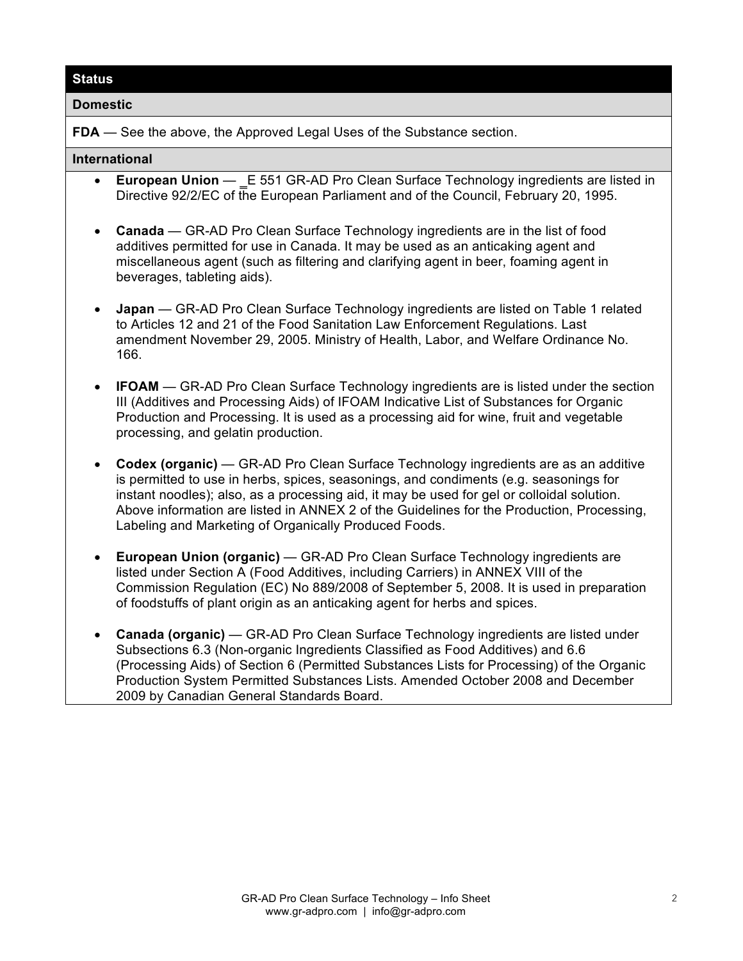## **Status**

#### **Domestic**

**FDA** — See the above, the Approved Legal Uses of the Substance section.

#### **International**

- **European Union** E 551 GR-AD Pro Clean Surface Technology ingredients are listed in Directive 92/2/EC of the European Parliament and of the Council, February 20, 1995.
- **Canada** GR-AD Pro Clean Surface Technology ingredients are in the list of food additives permitted for use in Canada. It may be used as an anticaking agent and miscellaneous agent (such as filtering and clarifying agent in beer, foaming agent in beverages, tableting aids).
- **Japan** GR-AD Pro Clean Surface Technology ingredients are listed on Table 1 related to Articles 12 and 21 of the Food Sanitation Law Enforcement Regulations. Last amendment November 29, 2005. Ministry of Health, Labor, and Welfare Ordinance No. 166.
- **IFOAM** GR-AD Pro Clean Surface Technology ingredients are is listed under the section III (Additives and Processing Aids) of IFOAM Indicative List of Substances for Organic Production and Processing. It is used as a processing aid for wine, fruit and vegetable processing, and gelatin production.
- **Codex (organic)** GR-AD Pro Clean Surface Technology ingredients are as an additive is permitted to use in herbs, spices, seasonings, and condiments (e.g. seasonings for instant noodles); also, as a processing aid, it may be used for gel or colloidal solution. Above information are listed in ANNEX 2 of the Guidelines for the Production, Processing, Labeling and Marketing of Organically Produced Foods.
- **European Union (organic)** GR-AD Pro Clean Surface Technology ingredients are listed under Section A (Food Additives, including Carriers) in ANNEX VIII of the Commission Regulation (EC) No 889/2008 of September 5, 2008. It is used in preparation of foodstuffs of plant origin as an anticaking agent for herbs and spices.
- **Canada (organic)** GR-AD Pro Clean Surface Technology ingredients are listed under Subsections 6.3 (Non-organic Ingredients Classified as Food Additives) and 6.6 (Processing Aids) of Section 6 (Permitted Substances Lists for Processing) of the Organic Production System Permitted Substances Lists. Amended October 2008 and December 2009 by Canadian General Standards Board.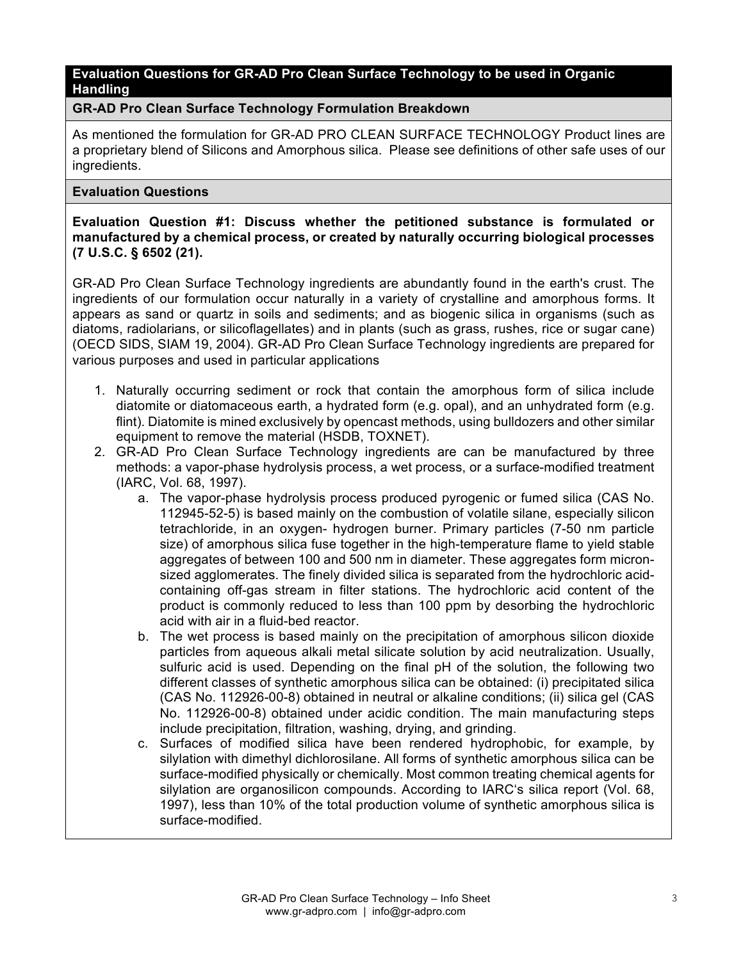# **Evaluation Questions for GR-AD Pro Clean Surface Technology to be used in Organic Handling**

## **GR-AD Pro Clean Surface Technology Formulation Breakdown**

As mentioned the formulation for GR-AD PRO CLEAN SURFACE TECHNOLOGY Product lines are a proprietary blend of Silicons and Amorphous silica. Please see definitions of other safe uses of our ingredients.

#### **Evaluation Questions**

**Evaluation Question #1: Discuss whether the petitioned substance is formulated or manufactured by a chemical process, or created by naturally occurring biological processes (7 U.S.C. § 6502 (21).**

GR-AD Pro Clean Surface Technology ingredients are abundantly found in the earth's crust. The ingredients of our formulation occur naturally in a variety of crystalline and amorphous forms. It appears as sand or quartz in soils and sediments; and as biogenic silica in organisms (such as diatoms, radiolarians, or silicoflagellates) and in plants (such as grass, rushes, rice or sugar cane) (OECD SIDS, SIAM 19, 2004). GR-AD Pro Clean Surface Technology ingredients are prepared for various purposes and used in particular applications

- 1. Naturally occurring sediment or rock that contain the amorphous form of silica include diatomite or diatomaceous earth, a hydrated form (e.g. opal), and an unhydrated form (e.g. flint). Diatomite is mined exclusively by opencast methods, using bulldozers and other similar equipment to remove the material (HSDB, TOXNET).
- 2. GR-AD Pro Clean Surface Technology ingredients are can be manufactured by three methods: a vapor-phase hydrolysis process, a wet process, or a surface-modified treatment (IARC, Vol. 68, 1997).
	- a. The vapor-phase hydrolysis process produced pyrogenic or fumed silica (CAS No. 112945-52-5) is based mainly on the combustion of volatile silane, especially silicon tetrachloride, in an oxygen- hydrogen burner. Primary particles (7-50 nm particle size) of amorphous silica fuse together in the high-temperature flame to vield stable aggregates of between 100 and 500 nm in diameter. These aggregates form micronsized agglomerates. The finely divided silica is separated from the hydrochloric acidcontaining off-gas stream in filter stations. The hydrochloric acid content of the product is commonly reduced to less than 100 ppm by desorbing the hydrochloric acid with air in a fluid-bed reactor.
	- b. The wet process is based mainly on the precipitation of amorphous silicon dioxide particles from aqueous alkali metal silicate solution by acid neutralization. Usually, sulfuric acid is used. Depending on the final pH of the solution, the following two different classes of synthetic amorphous silica can be obtained: (i) precipitated silica (CAS No. 112926-00-8) obtained in neutral or alkaline conditions; (ii) silica gel (CAS No. 112926-00-8) obtained under acidic condition. The main manufacturing steps include precipitation, filtration, washing, drying, and grinding.
	- c. Surfaces of modified silica have been rendered hydrophobic, for example, by silylation with dimethyl dichlorosilane. All forms of synthetic amorphous silica can be surface-modified physically or chemically. Most common treating chemical agents for silylation are organosilicon compounds. According to IARC's silica report (Vol. 68, 1997), less than 10% of the total production volume of synthetic amorphous silica is surface-modified.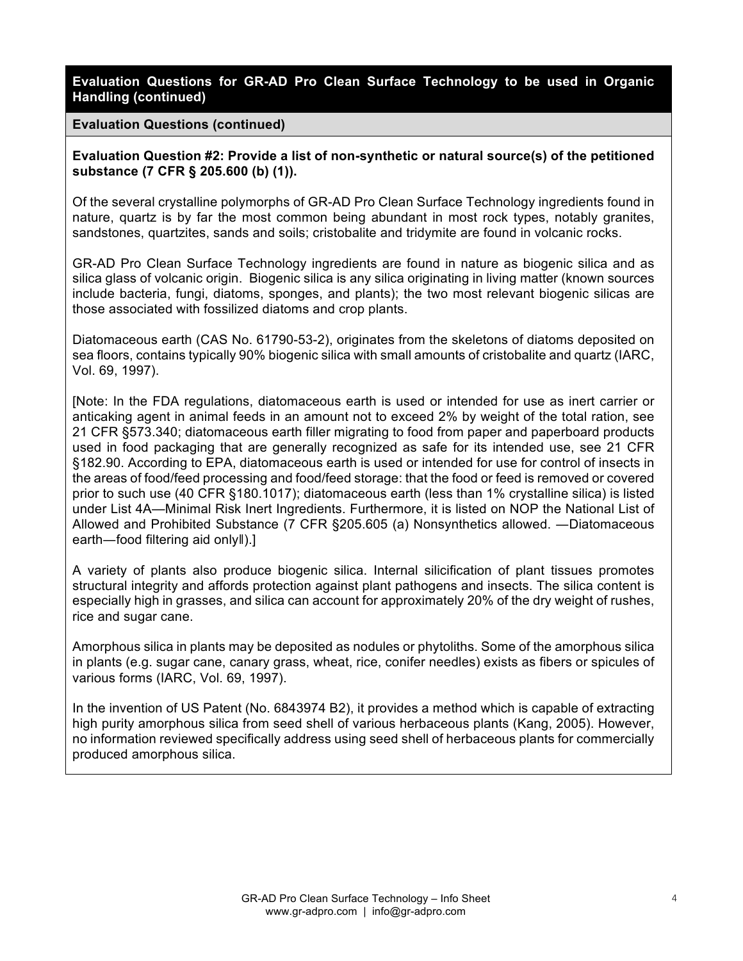**Evaluation Questions for GR-AD Pro Clean Surface Technology to be used in Organic Handling (continued)**

**Evaluation Questions (continued)**

**Evaluation Question #2: Provide a list of non-synthetic or natural source(s) of the petitioned substance (7 CFR § 205.600 (b) (1)).**

Of the several crystalline polymorphs of GR-AD Pro Clean Surface Technology ingredients found in nature, quartz is by far the most common being abundant in most rock types, notably granites, sandstones, quartzites, sands and soils; cristobalite and tridymite are found in volcanic rocks.

GR-AD Pro Clean Surface Technology ingredients are found in nature as biogenic silica and as silica glass of volcanic origin. Biogenic silica is any silica originating in living matter (known sources include bacteria, fungi, diatoms, sponges, and plants); the two most relevant biogenic silicas are those associated with fossilized diatoms and crop plants.

Diatomaceous earth (CAS No. 61790-53-2), originates from the skeletons of diatoms deposited on sea floors, contains typically 90% biogenic silica with small amounts of cristobalite and quartz (IARC, Vol. 69, 1997).

[Note: In the FDA regulations, diatomaceous earth is used or intended for use as inert carrier or anticaking agent in animal feeds in an amount not to exceed 2% by weight of the total ration, see 21 CFR §573.340; diatomaceous earth filler migrating to food from paper and paperboard products used in food packaging that are generally recognized as safe for its intended use, see 21 CFR §182.90. According to EPA, diatomaceous earth is used or intended for use for control of insects in the areas of food/feed processing and food/feed storage: that the food or feed is removed or covered prior to such use (40 CFR §180.1017); diatomaceous earth (less than 1% crystalline silica) is listed under List 4A—Minimal Risk Inert Ingredients. Furthermore, it is listed on NOP the National List of Allowed and Prohibited Substance (7 CFR §205.605 (a) Nonsynthetics allowed. ―Diatomaceous earth―food filtering aid onlyǁ).]

A variety of plants also produce biogenic silica. Internal silicification of plant tissues promotes structural integrity and affords protection against plant pathogens and insects. The silica content is especially high in grasses, and silica can account for approximately 20% of the dry weight of rushes, rice and sugar cane.

Amorphous silica in plants may be deposited as nodules or phytoliths. Some of the amorphous silica in plants (e.g. sugar cane, canary grass, wheat, rice, conifer needles) exists as fibers or spicules of various forms (IARC, Vol. 69, 1997).

In the invention of US Patent (No. 6843974 B2), it provides a method which is capable of extracting high purity amorphous silica from seed shell of various herbaceous plants (Kang, 2005). However, no information reviewed specifically address using seed shell of herbaceous plants for commercially produced amorphous silica.